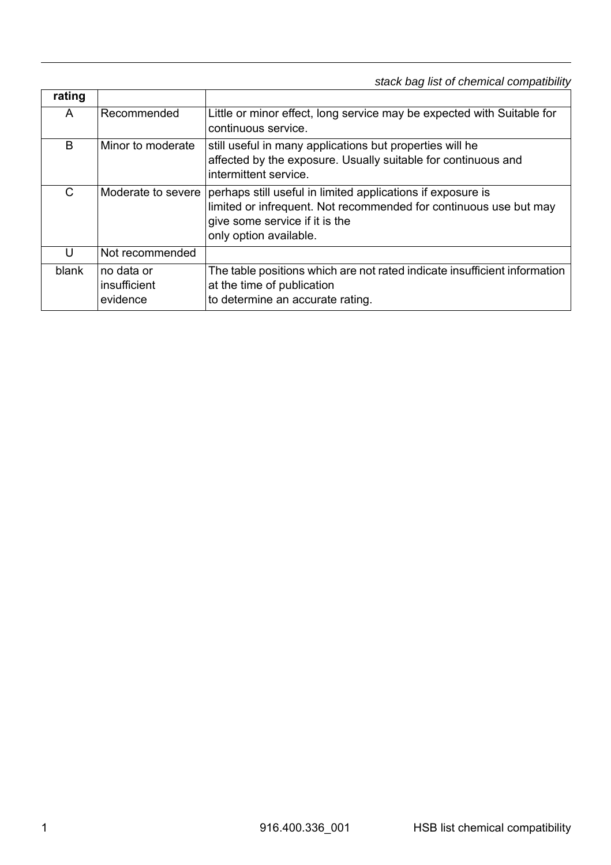*stack bag list of chemical compatibility*

| rating |                                        |                                                                                                                                                                                              |
|--------|----------------------------------------|----------------------------------------------------------------------------------------------------------------------------------------------------------------------------------------------|
| A      | Recommended                            | Little or minor effect, long service may be expected with Suitable for<br>continuous service.                                                                                                |
| B      | Minor to moderate                      | still useful in many applications but properties will he<br>affected by the exposure. Usually suitable for continuous and<br>intermittent service.                                           |
| C      | Moderate to severe                     | perhaps still useful in limited applications if exposure is<br>limited or infrequent. Not recommended for continuous use but may<br>give some service if it is the<br>only option available. |
| U      | Not recommended                        |                                                                                                                                                                                              |
| blank  | no data or<br>insufficient<br>evidence | The table positions which are not rated indicate insufficient information<br>at the time of publication<br>to determine an accurate rating.                                                  |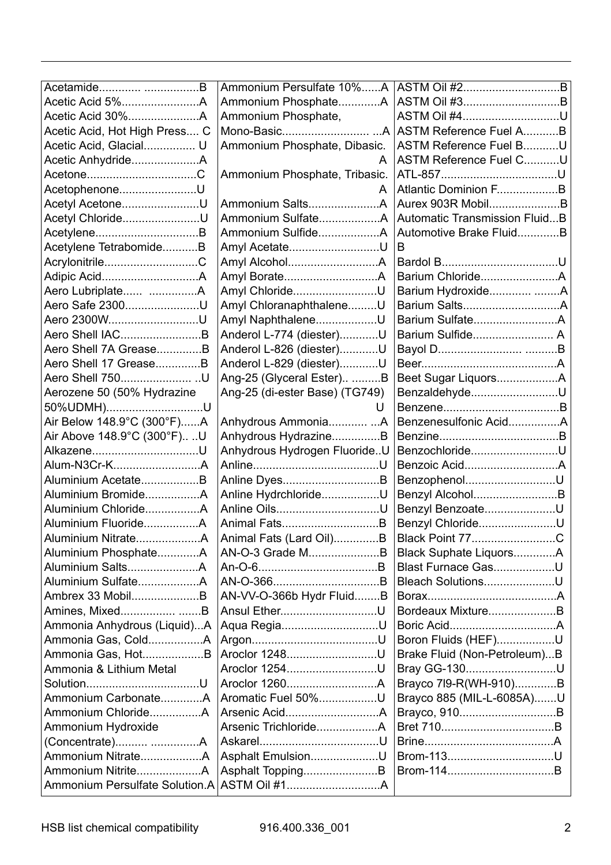| Acetamide B                   | Ammonium Persulfate 10%A       |                               |
|-------------------------------|--------------------------------|-------------------------------|
|                               | Ammonium PhosphateA            | ASTM Oil #3B                  |
| Acetic Acid 30%A              | Ammonium Phosphate,            | ASTM Oil #4U                  |
| Acetic Acid, Hot High Press C |                                |                               |
| Acetic Acid, Glacial U        | Ammonium Phosphate, Dibasic.   | ASTM Reference Fuel BU        |
| Acetic AnhydrideA             | A                              | ASTM Reference Fuel CU        |
|                               | Ammonium Phosphate, Tribasic.  |                               |
| AcetophenoneU                 | A                              | Atlantic Dominion FB          |
| Acetyl AcetoneU               | Ammonium SaltsA                | Aurex 903R MobilB             |
| Acetyl ChlorideU              | Ammonium SulfateA              | Automatic Transmission FluidB |
| AcetyleneB                    | Ammonium SulfideA              | Automotive Brake FluidB       |
| Acetylene TetrabomideB        | Amyl AcetateU                  | R                             |
| AcrylonitrileC                |                                |                               |
|                               |                                | Barium ChlorideA              |
|                               | Amyl ChlorideU                 | Barium Hydroxide A            |
| Aero Safe 2300U               | Amyl ChloranaphthaleneU        | Barium SaltsA                 |
| Aero 2300WU                   | Amyl NaphthaleneU              | Barium SulfateA               |
| Aero Shell IACB               | Anderol L-774 (diester)U       | Barium Sulfide A              |
| Aero Shell 7A GreaseB         | Anderol L-826 (diester)U       |                               |
| Aero Shell 17 GreaseB         | Anderol L-829 (diester)U       |                               |
| Aero Shell 750U               | Ang-25 (Glyceral Ester) B      | Beet Sugar LiquorsA           |
| Aerozene 50 (50% Hydrazine    | Ang-25 (di-ester Base) (TG749) | BenzaldehydeU                 |
| 50%UDMH)U                     | U                              |                               |
| Air Below 148.9°C (300°F)A    | Anhydrous AmmoniaA             | Benzenesulfonic AcidA         |
| Air Above 148.9°C (300°F)U    | Anhydrous HydrazineB           |                               |
| AlkazeneU                     | Anhydrous Hydrogen FluorideU   | BenzochlorideU                |
| Alum-N3Cr-KA                  |                                | Benzoic AcidA                 |
| Aluminium AcetateB            | Anline DyesB                   | BenzophenolU                  |
| Aluminium BromideA            | Anline HydrchlorideU           | Benzyl AlcoholB               |
| Aluminium ChlorideA           | Anline OilsU                   | Benzyl BenzoateU              |
| Aluminium FluorideA           | Animal FatsB                   | Benzyl ChlorideU              |
|                               | Animal Fats (Lard Oil)B        | Black Point 77C               |
| Aluminium PhosphateA          | AN-O-3 Grade MB                | Black Suphate LiquorsA        |
| Aluminium SaltsA              |                                | Blast Furnace GasU            |
|                               |                                | Bleach SolutionsU             |
| Ambrex 33 MobilB              | AN-VV-O-366b Hydr FluidB       |                               |
| Amines, Mixed B               | Ansul EtherU                   | Bordeaux MixtureB             |
| Ammonia Anhydrous (Liquid)A   | Aqua RegiaU                    |                               |
| Ammonia Gas, ColdA            |                                | Boron Fluids (HEF)U           |
| Ammonia Gas, HotB             | Aroclor 1248U                  | Brake Fluid (Non-Petroleum)B  |
| Ammonia & Lithium Metal       | Aroclor 1254U                  | Bray GG-130U                  |
|                               | Aroclor 1260A                  | Brayco 7l9-R(WH-910)B         |
| Ammonium CarbonateA           | Aromatic Fuel 50%U             | Brayco 885 (MIL-L-6085A)U     |
| Ammonium ChlorideA            |                                | Brayco, 910B                  |
| Ammonium Hydroxide            | Arsenic TrichlorideA           |                               |
| (Concentrate) A               |                                |                               |
|                               | Asphalt EmulsionU              | Brom-113U                     |
| Ammonium NitriteA             | Asphalt ToppingB               |                               |
|                               |                                |                               |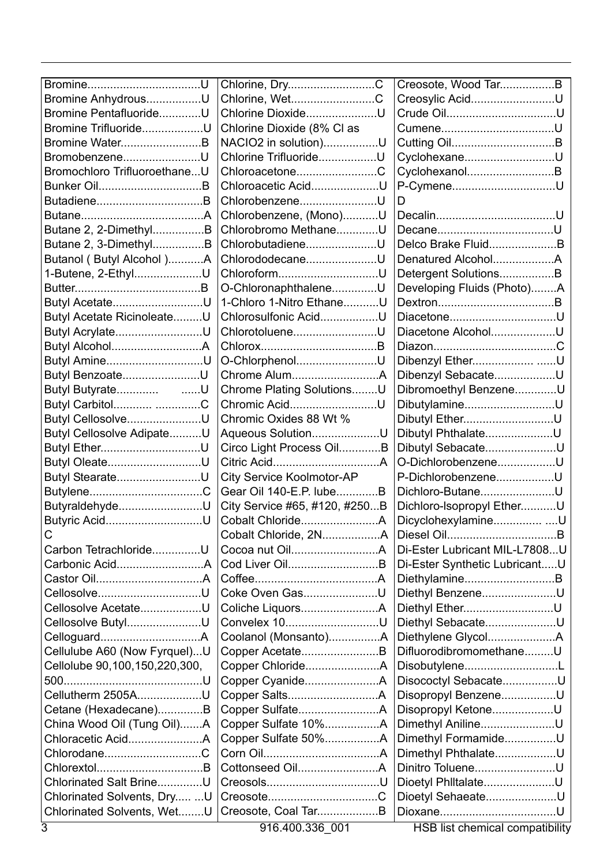| Chlorine, WetC<br>Creosylic AcidU<br>Bromine AnhydrousU<br>Bromine PentafluorideU<br>Chlorine DioxideU<br>Chlorine Dioxide (8% Cl as<br>Bromine TrifluorideU<br>Bromine WaterB<br>NACIO2 in solution)U<br>BromobenzeneU<br>Chlorine TrifluorideU<br>CyclohexaneU<br>Bromochloro TrifluoroethaneU<br>CyclohexanolB<br>ChloroacetoneC<br>P-CymeneU<br>Bunker OilB<br>Chloroacetic AcidU<br>ChlorobenzeneU<br>D<br>Chlorobenzene, (Mono)U<br>Butane 2, 2-DimethylB<br>Chlorobromo MethaneU<br>Butane 2, 3-DimethylB<br>ChlorobutadieneU<br>Delco Brake FluidB<br>Butanol (Butyl Alcohol)A<br>ChlorododecaneU<br>1-Butene, 2-EthylU<br>Detergent SolutionsB<br>O-ChloronaphthaleneU<br>Developing Fluids (Photo)A<br>1-Chloro 1-Nitro EthaneU<br>Butyl AcetateU<br>Butyl Acetate RicinoleateU<br>Chlorosulfonic AcidU<br>DiacetoneU<br>Butyl AcrylateU<br>ChlorotolueneU<br>Diacetone AlcoholU<br>Butyl AmineU<br>O-ChlorphenolU<br>Dibenzyl EtherU<br>Butyl BenzoateU<br>Chrome AlumA<br>Dibenzyl SebacateU<br>Butyl Butyrate<br>. U<br>Chrome Plating SolutionsU<br>Dibromoethyl BenzeneU<br>Butyl Carbitol C<br>Chromic AcidU<br>DibutylamineU<br>Butyl CellosolveU<br>Chromic Oxides 88 Wt %<br>Dibutyl EtherU<br>Butyl Cellosolve AdipateU<br>Aqueous SolutionU<br>Dibutyl PhthalateU<br>Circo Light Process OilB<br>Dibutyl SebacateU<br>O-DichlorobenzeneU<br>Butyl OleateU<br>Butyl StearateU<br>City Service Koolmotor-AP<br>P-DichlorobenzeneU<br>Gear Oil 140-E.P. lubeB<br>Dichloro-ButaneU<br>ButyraldehydeU<br>City Service #65, #120, #250B<br>Dichloro-Isopropyl EtherU<br>Butyric AcidU<br>DicyclohexylamineU<br>Cobalt ChlorideA<br>С<br>Carbon TetrachlorideU<br>Di-Ester Lubricant MIL-L7808U<br>Cod Liver OilB<br>Di-Ester Synthetic LubricantU<br>DiethylamineB<br>CellosolveU<br>Coke Oven GasU<br>Diethyl BenzeneU<br>Cellosolve AcetateU<br>Diethyl EtherU<br>Cellosolve ButylU<br>Diethyl SebacateU<br>Convelex 10U<br>Coolanol (Monsanto)A<br>Diethylene GlycolA<br>Cellulube A60 (Now Fyrquel)U<br>DifluorodibromomethaneU<br>Copper AcetateB<br>Cellolube 90,100,150,220,300,<br>DisobutyleneL<br>Disococtyl SebacateU<br>Cellutherm 2505AU<br>Disopropyl BenzeneU<br>Copper SulfateA<br>Disopropyl KetoneU<br>Cetane (Hexadecane)B<br>China Wood Oil (Tung Oil)A<br>Copper Sulfate 10%A<br>Dimethyl AnilineU<br>Copper Sulfate 50%A<br>Dimethyl FormamideU<br>ChlorodaneC<br>Dimethyl PhthalateU<br>Dinitro TolueneU<br>Dioetyl PhiltalateU<br>Chlorinated Salt BrineU<br>Chlorinated Solvents, Dry  U<br>Dioetyl SehaeateU<br>Chlorinated Solvents, WetU<br>Creosote, Coal TarB<br>916.400.336_001<br><b>HSB</b> list chemical compatibility | BromineU | Chlorine, DryC | Creosote, Wood TarB |
|-------------------------------------------------------------------------------------------------------------------------------------------------------------------------------------------------------------------------------------------------------------------------------------------------------------------------------------------------------------------------------------------------------------------------------------------------------------------------------------------------------------------------------------------------------------------------------------------------------------------------------------------------------------------------------------------------------------------------------------------------------------------------------------------------------------------------------------------------------------------------------------------------------------------------------------------------------------------------------------------------------------------------------------------------------------------------------------------------------------------------------------------------------------------------------------------------------------------------------------------------------------------------------------------------------------------------------------------------------------------------------------------------------------------------------------------------------------------------------------------------------------------------------------------------------------------------------------------------------------------------------------------------------------------------------------------------------------------------------------------------------------------------------------------------------------------------------------------------------------------------------------------------------------------------------------------------------------------------------------------------------------------------------------------------------------------------------------------------------------------------------------------------------------------------------------------------------------------------------------------------------------------------------------------------------------------------------------------------------------------------------------------------------------------------------------------------------------------------------------------------------------------------------------------------------------------------------------------------------------------------------------------------------------------------|----------|----------------|---------------------|
|                                                                                                                                                                                                                                                                                                                                                                                                                                                                                                                                                                                                                                                                                                                                                                                                                                                                                                                                                                                                                                                                                                                                                                                                                                                                                                                                                                                                                                                                                                                                                                                                                                                                                                                                                                                                                                                                                                                                                                                                                                                                                                                                                                                                                                                                                                                                                                                                                                                                                                                                                                                                                                                                         |          |                |                     |
|                                                                                                                                                                                                                                                                                                                                                                                                                                                                                                                                                                                                                                                                                                                                                                                                                                                                                                                                                                                                                                                                                                                                                                                                                                                                                                                                                                                                                                                                                                                                                                                                                                                                                                                                                                                                                                                                                                                                                                                                                                                                                                                                                                                                                                                                                                                                                                                                                                                                                                                                                                                                                                                                         |          |                |                     |
|                                                                                                                                                                                                                                                                                                                                                                                                                                                                                                                                                                                                                                                                                                                                                                                                                                                                                                                                                                                                                                                                                                                                                                                                                                                                                                                                                                                                                                                                                                                                                                                                                                                                                                                                                                                                                                                                                                                                                                                                                                                                                                                                                                                                                                                                                                                                                                                                                                                                                                                                                                                                                                                                         |          |                |                     |
|                                                                                                                                                                                                                                                                                                                                                                                                                                                                                                                                                                                                                                                                                                                                                                                                                                                                                                                                                                                                                                                                                                                                                                                                                                                                                                                                                                                                                                                                                                                                                                                                                                                                                                                                                                                                                                                                                                                                                                                                                                                                                                                                                                                                                                                                                                                                                                                                                                                                                                                                                                                                                                                                         |          |                |                     |
|                                                                                                                                                                                                                                                                                                                                                                                                                                                                                                                                                                                                                                                                                                                                                                                                                                                                                                                                                                                                                                                                                                                                                                                                                                                                                                                                                                                                                                                                                                                                                                                                                                                                                                                                                                                                                                                                                                                                                                                                                                                                                                                                                                                                                                                                                                                                                                                                                                                                                                                                                                                                                                                                         |          |                |                     |
|                                                                                                                                                                                                                                                                                                                                                                                                                                                                                                                                                                                                                                                                                                                                                                                                                                                                                                                                                                                                                                                                                                                                                                                                                                                                                                                                                                                                                                                                                                                                                                                                                                                                                                                                                                                                                                                                                                                                                                                                                                                                                                                                                                                                                                                                                                                                                                                                                                                                                                                                                                                                                                                                         |          |                |                     |
|                                                                                                                                                                                                                                                                                                                                                                                                                                                                                                                                                                                                                                                                                                                                                                                                                                                                                                                                                                                                                                                                                                                                                                                                                                                                                                                                                                                                                                                                                                                                                                                                                                                                                                                                                                                                                                                                                                                                                                                                                                                                                                                                                                                                                                                                                                                                                                                                                                                                                                                                                                                                                                                                         |          |                |                     |
|                                                                                                                                                                                                                                                                                                                                                                                                                                                                                                                                                                                                                                                                                                                                                                                                                                                                                                                                                                                                                                                                                                                                                                                                                                                                                                                                                                                                                                                                                                                                                                                                                                                                                                                                                                                                                                                                                                                                                                                                                                                                                                                                                                                                                                                                                                                                                                                                                                                                                                                                                                                                                                                                         |          |                |                     |
|                                                                                                                                                                                                                                                                                                                                                                                                                                                                                                                                                                                                                                                                                                                                                                                                                                                                                                                                                                                                                                                                                                                                                                                                                                                                                                                                                                                                                                                                                                                                                                                                                                                                                                                                                                                                                                                                                                                                                                                                                                                                                                                                                                                                                                                                                                                                                                                                                                                                                                                                                                                                                                                                         |          |                |                     |
|                                                                                                                                                                                                                                                                                                                                                                                                                                                                                                                                                                                                                                                                                                                                                                                                                                                                                                                                                                                                                                                                                                                                                                                                                                                                                                                                                                                                                                                                                                                                                                                                                                                                                                                                                                                                                                                                                                                                                                                                                                                                                                                                                                                                                                                                                                                                                                                                                                                                                                                                                                                                                                                                         |          |                |                     |
|                                                                                                                                                                                                                                                                                                                                                                                                                                                                                                                                                                                                                                                                                                                                                                                                                                                                                                                                                                                                                                                                                                                                                                                                                                                                                                                                                                                                                                                                                                                                                                                                                                                                                                                                                                                                                                                                                                                                                                                                                                                                                                                                                                                                                                                                                                                                                                                                                                                                                                                                                                                                                                                                         |          |                |                     |
|                                                                                                                                                                                                                                                                                                                                                                                                                                                                                                                                                                                                                                                                                                                                                                                                                                                                                                                                                                                                                                                                                                                                                                                                                                                                                                                                                                                                                                                                                                                                                                                                                                                                                                                                                                                                                                                                                                                                                                                                                                                                                                                                                                                                                                                                                                                                                                                                                                                                                                                                                                                                                                                                         |          |                |                     |
|                                                                                                                                                                                                                                                                                                                                                                                                                                                                                                                                                                                                                                                                                                                                                                                                                                                                                                                                                                                                                                                                                                                                                                                                                                                                                                                                                                                                                                                                                                                                                                                                                                                                                                                                                                                                                                                                                                                                                                                                                                                                                                                                                                                                                                                                                                                                                                                                                                                                                                                                                                                                                                                                         |          |                |                     |
|                                                                                                                                                                                                                                                                                                                                                                                                                                                                                                                                                                                                                                                                                                                                                                                                                                                                                                                                                                                                                                                                                                                                                                                                                                                                                                                                                                                                                                                                                                                                                                                                                                                                                                                                                                                                                                                                                                                                                                                                                                                                                                                                                                                                                                                                                                                                                                                                                                                                                                                                                                                                                                                                         |          |                |                     |
|                                                                                                                                                                                                                                                                                                                                                                                                                                                                                                                                                                                                                                                                                                                                                                                                                                                                                                                                                                                                                                                                                                                                                                                                                                                                                                                                                                                                                                                                                                                                                                                                                                                                                                                                                                                                                                                                                                                                                                                                                                                                                                                                                                                                                                                                                                                                                                                                                                                                                                                                                                                                                                                                         |          |                |                     |
|                                                                                                                                                                                                                                                                                                                                                                                                                                                                                                                                                                                                                                                                                                                                                                                                                                                                                                                                                                                                                                                                                                                                                                                                                                                                                                                                                                                                                                                                                                                                                                                                                                                                                                                                                                                                                                                                                                                                                                                                                                                                                                                                                                                                                                                                                                                                                                                                                                                                                                                                                                                                                                                                         |          |                |                     |
|                                                                                                                                                                                                                                                                                                                                                                                                                                                                                                                                                                                                                                                                                                                                                                                                                                                                                                                                                                                                                                                                                                                                                                                                                                                                                                                                                                                                                                                                                                                                                                                                                                                                                                                                                                                                                                                                                                                                                                                                                                                                                                                                                                                                                                                                                                                                                                                                                                                                                                                                                                                                                                                                         |          |                |                     |
|                                                                                                                                                                                                                                                                                                                                                                                                                                                                                                                                                                                                                                                                                                                                                                                                                                                                                                                                                                                                                                                                                                                                                                                                                                                                                                                                                                                                                                                                                                                                                                                                                                                                                                                                                                                                                                                                                                                                                                                                                                                                                                                                                                                                                                                                                                                                                                                                                                                                                                                                                                                                                                                                         |          |                |                     |
|                                                                                                                                                                                                                                                                                                                                                                                                                                                                                                                                                                                                                                                                                                                                                                                                                                                                                                                                                                                                                                                                                                                                                                                                                                                                                                                                                                                                                                                                                                                                                                                                                                                                                                                                                                                                                                                                                                                                                                                                                                                                                                                                                                                                                                                                                                                                                                                                                                                                                                                                                                                                                                                                         |          |                |                     |
|                                                                                                                                                                                                                                                                                                                                                                                                                                                                                                                                                                                                                                                                                                                                                                                                                                                                                                                                                                                                                                                                                                                                                                                                                                                                                                                                                                                                                                                                                                                                                                                                                                                                                                                                                                                                                                                                                                                                                                                                                                                                                                                                                                                                                                                                                                                                                                                                                                                                                                                                                                                                                                                                         |          |                |                     |
|                                                                                                                                                                                                                                                                                                                                                                                                                                                                                                                                                                                                                                                                                                                                                                                                                                                                                                                                                                                                                                                                                                                                                                                                                                                                                                                                                                                                                                                                                                                                                                                                                                                                                                                                                                                                                                                                                                                                                                                                                                                                                                                                                                                                                                                                                                                                                                                                                                                                                                                                                                                                                                                                         |          |                |                     |
|                                                                                                                                                                                                                                                                                                                                                                                                                                                                                                                                                                                                                                                                                                                                                                                                                                                                                                                                                                                                                                                                                                                                                                                                                                                                                                                                                                                                                                                                                                                                                                                                                                                                                                                                                                                                                                                                                                                                                                                                                                                                                                                                                                                                                                                                                                                                                                                                                                                                                                                                                                                                                                                                         |          |                |                     |
|                                                                                                                                                                                                                                                                                                                                                                                                                                                                                                                                                                                                                                                                                                                                                                                                                                                                                                                                                                                                                                                                                                                                                                                                                                                                                                                                                                                                                                                                                                                                                                                                                                                                                                                                                                                                                                                                                                                                                                                                                                                                                                                                                                                                                                                                                                                                                                                                                                                                                                                                                                                                                                                                         |          |                |                     |
|                                                                                                                                                                                                                                                                                                                                                                                                                                                                                                                                                                                                                                                                                                                                                                                                                                                                                                                                                                                                                                                                                                                                                                                                                                                                                                                                                                                                                                                                                                                                                                                                                                                                                                                                                                                                                                                                                                                                                                                                                                                                                                                                                                                                                                                                                                                                                                                                                                                                                                                                                                                                                                                                         |          |                |                     |
|                                                                                                                                                                                                                                                                                                                                                                                                                                                                                                                                                                                                                                                                                                                                                                                                                                                                                                                                                                                                                                                                                                                                                                                                                                                                                                                                                                                                                                                                                                                                                                                                                                                                                                                                                                                                                                                                                                                                                                                                                                                                                                                                                                                                                                                                                                                                                                                                                                                                                                                                                                                                                                                                         |          |                |                     |
|                                                                                                                                                                                                                                                                                                                                                                                                                                                                                                                                                                                                                                                                                                                                                                                                                                                                                                                                                                                                                                                                                                                                                                                                                                                                                                                                                                                                                                                                                                                                                                                                                                                                                                                                                                                                                                                                                                                                                                                                                                                                                                                                                                                                                                                                                                                                                                                                                                                                                                                                                                                                                                                                         |          |                |                     |
|                                                                                                                                                                                                                                                                                                                                                                                                                                                                                                                                                                                                                                                                                                                                                                                                                                                                                                                                                                                                                                                                                                                                                                                                                                                                                                                                                                                                                                                                                                                                                                                                                                                                                                                                                                                                                                                                                                                                                                                                                                                                                                                                                                                                                                                                                                                                                                                                                                                                                                                                                                                                                                                                         |          |                |                     |
|                                                                                                                                                                                                                                                                                                                                                                                                                                                                                                                                                                                                                                                                                                                                                                                                                                                                                                                                                                                                                                                                                                                                                                                                                                                                                                                                                                                                                                                                                                                                                                                                                                                                                                                                                                                                                                                                                                                                                                                                                                                                                                                                                                                                                                                                                                                                                                                                                                                                                                                                                                                                                                                                         |          |                |                     |
|                                                                                                                                                                                                                                                                                                                                                                                                                                                                                                                                                                                                                                                                                                                                                                                                                                                                                                                                                                                                                                                                                                                                                                                                                                                                                                                                                                                                                                                                                                                                                                                                                                                                                                                                                                                                                                                                                                                                                                                                                                                                                                                                                                                                                                                                                                                                                                                                                                                                                                                                                                                                                                                                         |          |                |                     |
|                                                                                                                                                                                                                                                                                                                                                                                                                                                                                                                                                                                                                                                                                                                                                                                                                                                                                                                                                                                                                                                                                                                                                                                                                                                                                                                                                                                                                                                                                                                                                                                                                                                                                                                                                                                                                                                                                                                                                                                                                                                                                                                                                                                                                                                                                                                                                                                                                                                                                                                                                                                                                                                                         |          |                |                     |
|                                                                                                                                                                                                                                                                                                                                                                                                                                                                                                                                                                                                                                                                                                                                                                                                                                                                                                                                                                                                                                                                                                                                                                                                                                                                                                                                                                                                                                                                                                                                                                                                                                                                                                                                                                                                                                                                                                                                                                                                                                                                                                                                                                                                                                                                                                                                                                                                                                                                                                                                                                                                                                                                         |          |                |                     |
|                                                                                                                                                                                                                                                                                                                                                                                                                                                                                                                                                                                                                                                                                                                                                                                                                                                                                                                                                                                                                                                                                                                                                                                                                                                                                                                                                                                                                                                                                                                                                                                                                                                                                                                                                                                                                                                                                                                                                                                                                                                                                                                                                                                                                                                                                                                                                                                                                                                                                                                                                                                                                                                                         |          |                |                     |
|                                                                                                                                                                                                                                                                                                                                                                                                                                                                                                                                                                                                                                                                                                                                                                                                                                                                                                                                                                                                                                                                                                                                                                                                                                                                                                                                                                                                                                                                                                                                                                                                                                                                                                                                                                                                                                                                                                                                                                                                                                                                                                                                                                                                                                                                                                                                                                                                                                                                                                                                                                                                                                                                         |          |                |                     |
|                                                                                                                                                                                                                                                                                                                                                                                                                                                                                                                                                                                                                                                                                                                                                                                                                                                                                                                                                                                                                                                                                                                                                                                                                                                                                                                                                                                                                                                                                                                                                                                                                                                                                                                                                                                                                                                                                                                                                                                                                                                                                                                                                                                                                                                                                                                                                                                                                                                                                                                                                                                                                                                                         |          |                |                     |
|                                                                                                                                                                                                                                                                                                                                                                                                                                                                                                                                                                                                                                                                                                                                                                                                                                                                                                                                                                                                                                                                                                                                                                                                                                                                                                                                                                                                                                                                                                                                                                                                                                                                                                                                                                                                                                                                                                                                                                                                                                                                                                                                                                                                                                                                                                                                                                                                                                                                                                                                                                                                                                                                         |          |                |                     |
|                                                                                                                                                                                                                                                                                                                                                                                                                                                                                                                                                                                                                                                                                                                                                                                                                                                                                                                                                                                                                                                                                                                                                                                                                                                                                                                                                                                                                                                                                                                                                                                                                                                                                                                                                                                                                                                                                                                                                                                                                                                                                                                                                                                                                                                                                                                                                                                                                                                                                                                                                                                                                                                                         |          |                |                     |
|                                                                                                                                                                                                                                                                                                                                                                                                                                                                                                                                                                                                                                                                                                                                                                                                                                                                                                                                                                                                                                                                                                                                                                                                                                                                                                                                                                                                                                                                                                                                                                                                                                                                                                                                                                                                                                                                                                                                                                                                                                                                                                                                                                                                                                                                                                                                                                                                                                                                                                                                                                                                                                                                         |          |                |                     |
|                                                                                                                                                                                                                                                                                                                                                                                                                                                                                                                                                                                                                                                                                                                                                                                                                                                                                                                                                                                                                                                                                                                                                                                                                                                                                                                                                                                                                                                                                                                                                                                                                                                                                                                                                                                                                                                                                                                                                                                                                                                                                                                                                                                                                                                                                                                                                                                                                                                                                                                                                                                                                                                                         |          |                |                     |
|                                                                                                                                                                                                                                                                                                                                                                                                                                                                                                                                                                                                                                                                                                                                                                                                                                                                                                                                                                                                                                                                                                                                                                                                                                                                                                                                                                                                                                                                                                                                                                                                                                                                                                                                                                                                                                                                                                                                                                                                                                                                                                                                                                                                                                                                                                                                                                                                                                                                                                                                                                                                                                                                         |          |                |                     |
|                                                                                                                                                                                                                                                                                                                                                                                                                                                                                                                                                                                                                                                                                                                                                                                                                                                                                                                                                                                                                                                                                                                                                                                                                                                                                                                                                                                                                                                                                                                                                                                                                                                                                                                                                                                                                                                                                                                                                                                                                                                                                                                                                                                                                                                                                                                                                                                                                                                                                                                                                                                                                                                                         |          |                |                     |
|                                                                                                                                                                                                                                                                                                                                                                                                                                                                                                                                                                                                                                                                                                                                                                                                                                                                                                                                                                                                                                                                                                                                                                                                                                                                                                                                                                                                                                                                                                                                                                                                                                                                                                                                                                                                                                                                                                                                                                                                                                                                                                                                                                                                                                                                                                                                                                                                                                                                                                                                                                                                                                                                         |          |                |                     |
|                                                                                                                                                                                                                                                                                                                                                                                                                                                                                                                                                                                                                                                                                                                                                                                                                                                                                                                                                                                                                                                                                                                                                                                                                                                                                                                                                                                                                                                                                                                                                                                                                                                                                                                                                                                                                                                                                                                                                                                                                                                                                                                                                                                                                                                                                                                                                                                                                                                                                                                                                                                                                                                                         |          |                |                     |
|                                                                                                                                                                                                                                                                                                                                                                                                                                                                                                                                                                                                                                                                                                                                                                                                                                                                                                                                                                                                                                                                                                                                                                                                                                                                                                                                                                                                                                                                                                                                                                                                                                                                                                                                                                                                                                                                                                                                                                                                                                                                                                                                                                                                                                                                                                                                                                                                                                                                                                                                                                                                                                                                         |          |                |                     |
|                                                                                                                                                                                                                                                                                                                                                                                                                                                                                                                                                                                                                                                                                                                                                                                                                                                                                                                                                                                                                                                                                                                                                                                                                                                                                                                                                                                                                                                                                                                                                                                                                                                                                                                                                                                                                                                                                                                                                                                                                                                                                                                                                                                                                                                                                                                                                                                                                                                                                                                                                                                                                                                                         |          |                |                     |
|                                                                                                                                                                                                                                                                                                                                                                                                                                                                                                                                                                                                                                                                                                                                                                                                                                                                                                                                                                                                                                                                                                                                                                                                                                                                                                                                                                                                                                                                                                                                                                                                                                                                                                                                                                                                                                                                                                                                                                                                                                                                                                                                                                                                                                                                                                                                                                                                                                                                                                                                                                                                                                                                         |          |                |                     |
|                                                                                                                                                                                                                                                                                                                                                                                                                                                                                                                                                                                                                                                                                                                                                                                                                                                                                                                                                                                                                                                                                                                                                                                                                                                                                                                                                                                                                                                                                                                                                                                                                                                                                                                                                                                                                                                                                                                                                                                                                                                                                                                                                                                                                                                                                                                                                                                                                                                                                                                                                                                                                                                                         |          |                |                     |
|                                                                                                                                                                                                                                                                                                                                                                                                                                                                                                                                                                                                                                                                                                                                                                                                                                                                                                                                                                                                                                                                                                                                                                                                                                                                                                                                                                                                                                                                                                                                                                                                                                                                                                                                                                                                                                                                                                                                                                                                                                                                                                                                                                                                                                                                                                                                                                                                                                                                                                                                                                                                                                                                         |          |                |                     |
|                                                                                                                                                                                                                                                                                                                                                                                                                                                                                                                                                                                                                                                                                                                                                                                                                                                                                                                                                                                                                                                                                                                                                                                                                                                                                                                                                                                                                                                                                                                                                                                                                                                                                                                                                                                                                                                                                                                                                                                                                                                                                                                                                                                                                                                                                                                                                                                                                                                                                                                                                                                                                                                                         |          |                |                     |
|                                                                                                                                                                                                                                                                                                                                                                                                                                                                                                                                                                                                                                                                                                                                                                                                                                                                                                                                                                                                                                                                                                                                                                                                                                                                                                                                                                                                                                                                                                                                                                                                                                                                                                                                                                                                                                                                                                                                                                                                                                                                                                                                                                                                                                                                                                                                                                                                                                                                                                                                                                                                                                                                         |          |                |                     |
|                                                                                                                                                                                                                                                                                                                                                                                                                                                                                                                                                                                                                                                                                                                                                                                                                                                                                                                                                                                                                                                                                                                                                                                                                                                                                                                                                                                                                                                                                                                                                                                                                                                                                                                                                                                                                                                                                                                                                                                                                                                                                                                                                                                                                                                                                                                                                                                                                                                                                                                                                                                                                                                                         |          |                |                     |
|                                                                                                                                                                                                                                                                                                                                                                                                                                                                                                                                                                                                                                                                                                                                                                                                                                                                                                                                                                                                                                                                                                                                                                                                                                                                                                                                                                                                                                                                                                                                                                                                                                                                                                                                                                                                                                                                                                                                                                                                                                                                                                                                                                                                                                                                                                                                                                                                                                                                                                                                                                                                                                                                         |          |                |                     |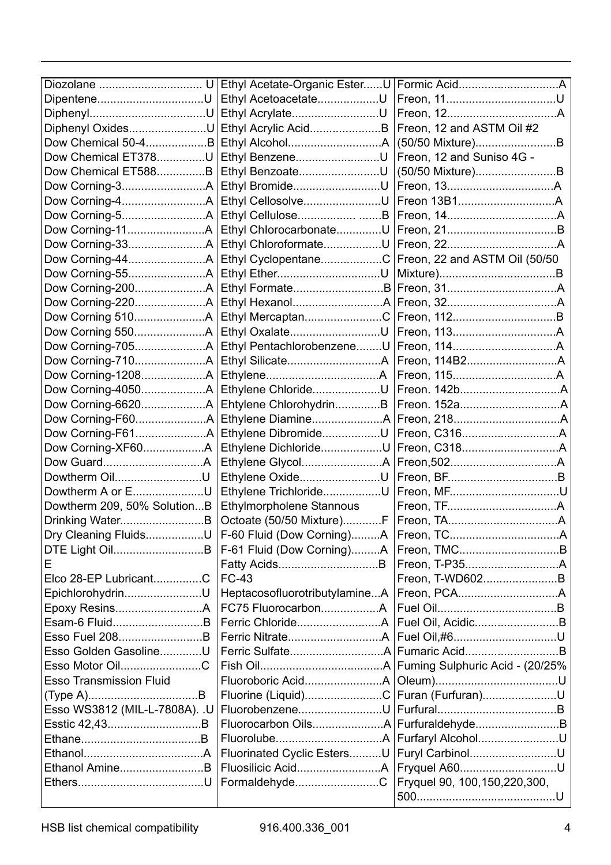|                                | Ethyl Acetate-Organic EsterU  |                                  |
|--------------------------------|-------------------------------|----------------------------------|
| DipenteneU                     | Ethyl AcetoacetateU           |                                  |
|                                | Ethyl AcrylateU               |                                  |
| Diphenyl OxidesU               | Ethyl Acrylic AcidB           | Freon, 12 and ASTM Oil #2        |
| Dow Chemical 50-4B             |                               | (50/50 Mixture)B                 |
| Dow Chemical ET378U            | Ethyl BenzeneU                | Freon, 12 and Suniso 4G -        |
| Dow Chemical ET588B            | Ethyl BenzoateU               |                                  |
|                                |                               | (50/50 Mixture)B                 |
|                                | Ethyl BromideU                |                                  |
|                                | Ethyl CellosolveU             |                                  |
|                                | Ethyl CelluloseB              |                                  |
|                                | Ethyl ChlorocarbonateU        |                                  |
|                                | Ethyl ChloroformateU          |                                  |
|                                | Ethyl CyclopentaneC           | Freon, 22 and ASTM Oil (50/50)   |
|                                |                               |                                  |
| Dow Corning-200A               |                               |                                  |
| Dow Corning-220A               |                               |                                  |
|                                | Ethyl MercaptanC              |                                  |
|                                | Ethyl OxalateU                |                                  |
|                                | Ethyl PentachlorobenzeneU     |                                  |
|                                |                               |                                  |
|                                |                               |                                  |
|                                | Ethylene ChlorideU            |                                  |
|                                | Ehtylene ChlorohydrinB        |                                  |
|                                |                               |                                  |
|                                | Ethylene DibromideU           |                                  |
| Dow Corning-XF60A              | Ethylene DichlorideU          |                                  |
|                                |                               |                                  |
| Dowtherm OilU                  | Ethylene OxideU               |                                  |
| Dowtherm A or EU               | Ethylene TrichlorideU         |                                  |
| Dowtherm 209, 50% SolutionB    | Ethylmorpholene Stannous      |                                  |
| Drinking WaterB                | Octoate (50/50 Mixture)F      |                                  |
| Dry Cleaning FluidsU           | F-60 Fluid (Dow Corning)A     |                                  |
| DTE Light OilB                 | F-61 Fluid (Dow Corning)A     |                                  |
| E                              |                               |                                  |
| Elco 28-EP LubricantC          | <b>FC-43</b>                  | Freon, T-WD602B                  |
| EpichlorohydrinU               | HeptacosofluorotributylamineA |                                  |
|                                | FC75 FluorocarbonA            |                                  |
| Esam-6 FluidB                  |                               |                                  |
| Esso Fuel 208B                 |                               | Fuel Oil,#6U                     |
| Esso Golden GasolineU          |                               |                                  |
| Esso Motor OilC                |                               | Fuming Sulphuric Acid - (20/25%) |
| <b>Esso Transmission Fluid</b> |                               |                                  |
|                                |                               |                                  |
| Esso WS3812 (MIL-L-7808A). .U  | Fluorine (Liquid)C            | Furan (Furfuran)U                |
|                                | FluorobenzeneU                |                                  |
| Esstic 42,43B                  |                               | FurfuraldehydeB                  |
|                                |                               | Furfaryl AlcoholU                |
|                                | Fluorinated Cyclic EstersU    | Furyl CarbinolU                  |
| Ethanol AmineB                 |                               | Fryquel A60U                     |
|                                | FormaldehydeC                 | Fryguel 90, 100, 150, 220, 300,  |
|                                |                               |                                  |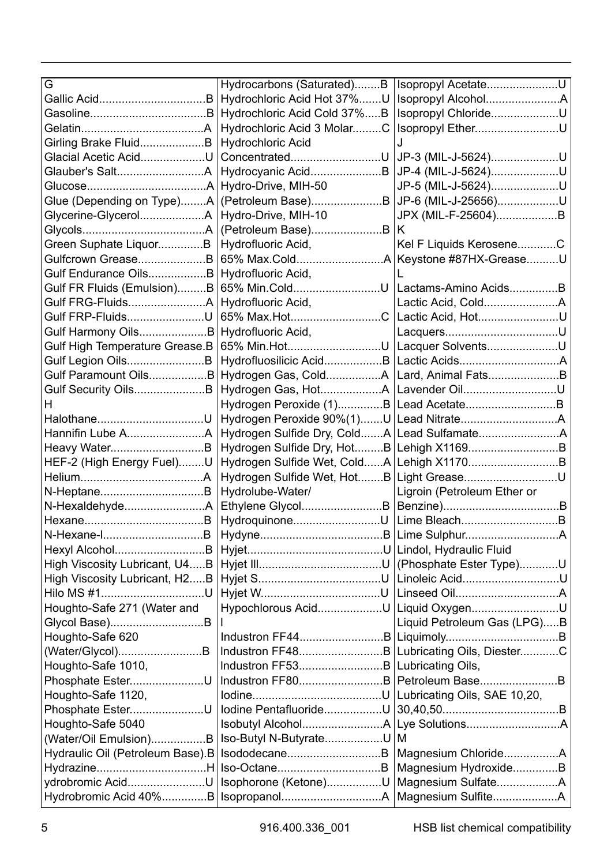| G                                | Hydrocarbons (Saturated)B                                 | Isopropyl AcetateU                        |
|----------------------------------|-----------------------------------------------------------|-------------------------------------------|
|                                  | Hydrochloric Acid Hot 37%U                                |                                           |
|                                  | Hydrochloric Acid Cold 37%B                               | Isopropyl ChlorideU                       |
|                                  | Hydrochloric Acid 3 MolarC                                | Isopropyl EtherU                          |
| Girling Brake FluidB             | Hydrochloric Acid                                         | ۱.                                        |
| Glacial Acetic AcidU             | ConcentratedU                                             | JP-3 (MIL-J-5624)U                        |
|                                  | Hydrocyanic AcidB                                         | JP-4 (MIL-J-5624)U                        |
|                                  | Hydro-Drive, MIH-50                                       | JP-5 (MIL-J-5624)U                        |
| Glue (Depending on Type)A        |                                                           |                                           |
| Glycerine-GlycerolA              | Hydro-Drive, MIH-10                                       | JPX (MIL-F-25604)B                        |
|                                  | (Petroleum Base)B                                         | κ                                         |
| Green Suphate LiquorB            | Hydrofluoric Acid,                                        | Kel F Liquids KeroseneC                   |
| Gulfcrown GreaseB                | 65% Max.ColdA                                             | Keystone #87HX-GreaseU                    |
| Gulf Endurance OilsB             | Hydrofluoric Acid,                                        |                                           |
| Gulf FR Fluids (Emulsion)B       |                                                           |                                           |
|                                  | Hydrofluoric Acid,                                        |                                           |
| Gulf FRP-FluidsU                 | 65% Max.HotC                                              | Lactic Acid, HotU                         |
| Gulf Harmony OilsB               | Hydrofluoric Acid,                                        |                                           |
| Gulf High Temperature Grease.B   | 65% Min.HotU                                              | Lacquer SolventsU                         |
| Gulf Legion OilsB                | Hydrofluosilicic AcidB                                    |                                           |
| Gulf Paramount OilsB             |                                                           |                                           |
| Gulf Security OilsB              |                                                           |                                           |
| н                                | Hydrogen Peroxide (1)B Lead AcetateB                      |                                           |
|                                  |                                                           |                                           |
|                                  |                                                           |                                           |
|                                  |                                                           | Hydrogen Sulfide Dry, HotB Lehigh X1169B  |
| HEF-2 (High Energy Fuel)U        |                                                           | Hydrogen Sulfide Wet, ColdA Lehigh X1170B |
|                                  | Hydrogen Sulfide Wet, HotB                                | Light GreaseU                             |
|                                  | Hydrolube-Water/                                          | Ligroin (Petroleum Ether or               |
| N-HexaldehydeA                   | Ethylene GlycolB                                          |                                           |
|                                  | HydroquinoneU                                             |                                           |
|                                  |                                                           |                                           |
|                                  |                                                           | Lindol, Hydraulic Fluid                   |
| High Viscosity Lubricant, U4B    |                                                           | (Phosphate Ester Type)U                   |
| High Viscosity Lubricant, H2B    |                                                           | Linoleic AcidU                            |
| Hilo MS #1U                      |                                                           |                                           |
| Houghto-Safe 271 (Water and      | Hypochlorous AcidU                                        | Liquid OxygenU                            |
|                                  |                                                           | Liquid Petroleum Gas (LPG)B               |
| Houghto-Safe 620                 |                                                           |                                           |
|                                  |                                                           |                                           |
| Houghto-Safe 1010,               |                                                           |                                           |
| Phosphate EsterU                 |                                                           |                                           |
| Houghto-Safe 1120,               |                                                           | Lubricating Oils, SAE 10,20,              |
| Phosphate EsterU                 | lodine PentafluorideU                                     |                                           |
| Houghto-Safe 5040                |                                                           |                                           |
| (Water/Oil Emulsion)B            | Iso-Butyl N-ButyrateU                                     | M                                         |
| Hydraulic Oil (Petroleum Base).B |                                                           | Magnesium ChlorideA                       |
| HydrazineH                       |                                                           | Magnesium HydroxideB                      |
| ydrobromic AcidU                 | Isophorone (Ketone)U                                      |                                           |
|                                  | Hydrobromic Acid 40%B   IsopropanolA   Magnesium SulfiteA |                                           |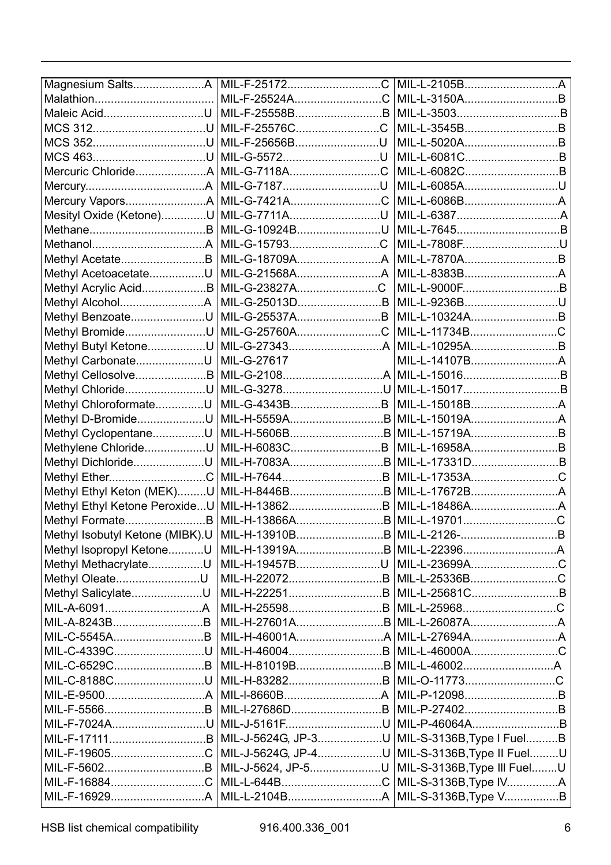|                                 | MIL-F-25172C       | MIL-L-2105BA                |  |
|---------------------------------|--------------------|-----------------------------|--|
|                                 | MIL-F-25524AC      | MIL-L-3150AB                |  |
| Maleic AcidU                    | MIL-F-25558BB      |                             |  |
| MCS 312U                        | MIL-F-25576CC      | MIL-L-3545BB                |  |
|                                 | MIL-F-25656BU      |                             |  |
|                                 | MIL-G-5572U        | MIL-L-6081CB                |  |
| Mercuric ChlorideA MIL-G-7118AC |                    | MIL-L-6082CB                |  |
|                                 | MIL-G-7187U        | MIL-L-6085AU                |  |
|                                 |                    |                             |  |
| Mesityl Oxide (Ketone)U         | MIL-G-7711AU       |                             |  |
|                                 | MIL-G-10924BU      |                             |  |
|                                 | MIL-G-15793C       | MIL-L-7808FU                |  |
| Methyl AcetateB                 |                    | MIL-L-7870AB                |  |
| Methyl AcetoacetateU            | MIL-G-21568AA      |                             |  |
| Methyl Acrylic AcidB            | MIL-G-23827AC      |                             |  |
|                                 | MIL-G-25013DB      | MIL-L-9236BU                |  |
| Methyl BenzoateU                | MIL-G-25537AB      | MIL-L-10324AB               |  |
| Methyl BromideU                 | MIL-G-25760AC      | MIL-L-11734BC               |  |
| Methyl Butyl KetoneU            |                    | MIL-L-10295AB               |  |
| Methyl CarbonateU               | MIL-G-27617        |                             |  |
| Methyl CellosolveB              |                    |                             |  |
| Methyl ChlorideU                | MIL-G-3278U        | MIL-L-15017B                |  |
| Methyl ChloroformateU           | MIL-G-4343BB       | MIL-L-15018BA               |  |
| Methyl D-BromideU               | MIL-H-5559AB       |                             |  |
| Methyl CyclopentaneU            | MIL-H-5606BB       | MIL-L-15719AB               |  |
| Methylene ChlorideU             | MIL-H-6083CB       | MIL-L-16958AB               |  |
| Methyl DichlorideU              |                    | MIL-L-17331DB               |  |
| Methyl EtherC                   |                    | MIL-L-17353AC               |  |
| Methyl Ethyl Keton (MEK)U       | MIL-H-8446BB       |                             |  |
| Methyl Ethyl Ketone PeroxideU   | MIL-H-13862B       | MIL-L-18486AA               |  |
| Methyl FormateB                 | MIL-H-13866AB      | MIL-L-19701C                |  |
| Methyl Isobutyl Ketone (MIBK).U | MIL-H-13910BB      |                             |  |
| Methyl Isopropyl KetoneU        | MIL-H-13919AB      |                             |  |
| Methyl MethacrylateU            | MIL-H-19457BU      | MIL-L-23699AC               |  |
| Methyl OleateU                  | MIL-H-22072B       | MIL-L-25336BC               |  |
| Methyl SalicylateU              | MIL-H-22251B       | MIL-L-25681CB               |  |
|                                 | MIL-H-25598B       | MIL-L-25968C                |  |
| MIL-A-8243BB                    | MIL-H-27601AB      |                             |  |
| MIL-C-5545AB                    | MIL-H-46001AA      |                             |  |
| MIL-C-4339CU                    |                    | MIL-L-46000AC               |  |
| MIL-C-6529CB                    | MIL-H-81019BB      |                             |  |
| MIL-C-8188CU                    |                    | MIL-O-11773C                |  |
|                                 |                    | MIL-P-12098B                |  |
|                                 | MIL-I-27686DB      | MIL-P-27402B                |  |
| MIL-F-7024AU                    | MIL-J-5161FU       | MIL-P-46064AB               |  |
|                                 | MIL-J-5624G, JP-3U | MIL-S-3136B, Type I FuelB   |  |
| MIL-F-19605C                    | MIL-J-5624G, JP-4U | MIL-S-3136B, Type II FuelU  |  |
|                                 | MIL-J-5624. JP-5U  | MIL-S-3136B, Type III FuelU |  |
| MIL-F-16884C                    | MIL-L-644BC        | MIL-S-3136B, Type IVA       |  |
|                                 |                    | MIL-S-3136B, Type VB        |  |
|                                 |                    |                             |  |

HSB list chemical compatibility  $916.400.336\_001$  6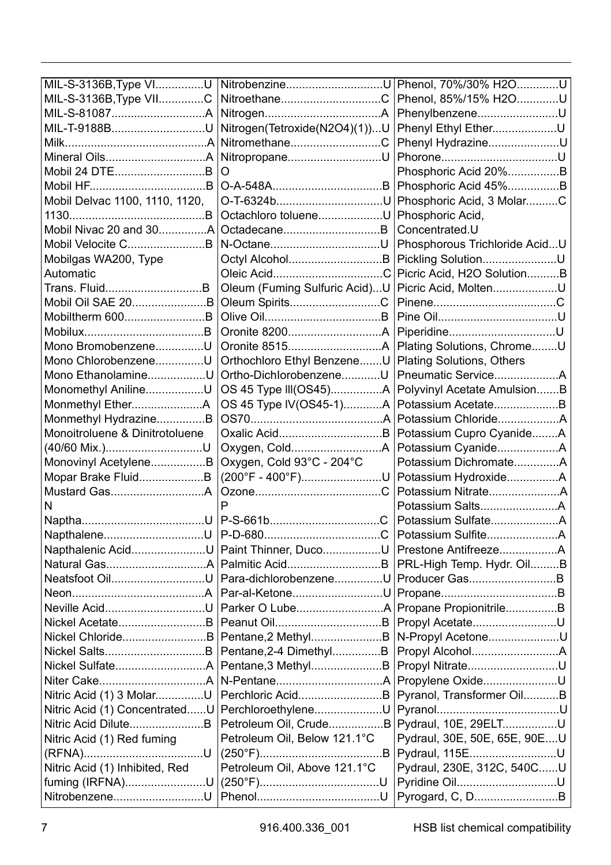| MIL-S-3136B, Type VIU          |                               | Phenol, 70%/30% H2OU          |
|--------------------------------|-------------------------------|-------------------------------|
| MIL-S-3136B, Type VIIC         | NitroethaneC                  | Phenol, 85%/15% H2OU          |
|                                |                               | PhenylbenzeneU                |
| MIL-T-9188BU                   | Nitrogen(Tetroxide(N2O4)(1))U | Phenyl Ethyl EtherU           |
|                                | NitromethaneC                 | Phenyl HydrazineU             |
|                                | NitropropaneU                 |                               |
| Mobil 24 DTEB                  | Ω                             | Phosphoric Acid 20%B          |
|                                |                               | Phosphoric Acid 45%B          |
| Mobil Delvac 1100, 1110, 1120. | O-T-6324bU                    | Phosphoric Acid, 3 MolarC     |
|                                | Octachloro tolueneU           | Phosphoric Acid,              |
|                                |                               | Concentrated.U                |
| Mobil Velocite CB              | N-OctaneU                     | Phosphorous Trichloride AcidU |
| Mobilgas WA200, Type           |                               | Pickling SolutionU            |
| Automatic                      |                               | Picric Acid, H2O SolutionB    |
| Trans. FluidB                  | Oleum (Fuming Sulfuric Acid)U | Picric Acid, MoltenU          |
| Mobil Oil SAE 20B              | Oleum SpiritsC                |                               |
| Mobiltherm 600B                |                               |                               |
|                                |                               |                               |
| Mono BromobenzeneU             |                               | Plating Solutions, ChromeU    |
| Mono ChlorobenzeneU            | Orthochloro Ethyl BenzeneU    | Plating Solutions, Others     |
| Mono EthanolamineU             | Ortho-DichlorobenzeneU        | Pneumatic ServiceA            |
| Monomethyl AnilineU            | OS 45 Type III(OS45)A         | Polyvinyl Acetate AmulsionB   |
|                                | OS 45 Type IV(OS45-1)A        | Potassium AcetateB            |
| Monmethyl HydrazineB           |                               |                               |
| Monoitroluene & Dinitrotoluene |                               | Potassium Cupro CyanideA      |
| (40/60 Mix.)U                  |                               | Potassium CyanideA            |
| Monovinyl AcetyleneB           | Oxygen, Cold 93°C - 204°C     | Potassium DichromateA         |
| Mopar Brake FluidB             | (200°F - 400°F)U              | Potassium HydroxideA          |
|                                |                               |                               |
| N                              | Þ                             |                               |
|                                |                               |                               |
|                                |                               |                               |
| Napthalenic AcidU              | Paint Thinner. DucoU          |                               |
|                                | Palmitic AcidB                | PRL-High Temp. Hydr. OilB     |
| Neatsfoot OilU                 | Para-dichlorobenzeneU         | Producer GasB                 |
|                                | Par-al-KetoneU                |                               |
| Neville AcidU                  |                               | Propane PropionitrileB        |
| Nickel AcetateB                |                               | Propyl AcetateU               |
| Nickel ChlorideB               | Pentane, 2 MethylB            | N-Propyl AcetoneU             |
|                                | Pentane, 2-4 DimethylB        |                               |
|                                | Pentane, 3 MethylB            | Propyl NitrateU               |
|                                |                               | Propylene OxideU              |
| Nitric Acid (1) 3 MolarU       | Perchloric AcidB              | Pyranol, Transformer OilB     |
| Nitric Acid (1) ConcentratedU  | PerchloroethyleneU            |                               |
| Nitric Acid DiluteB            | Petroleum Oil, CrudeB         | Pydraul, 10E, 29ELTU          |
| Nitric Acid (1) Red fuming     | Petroleum Oil, Below 121.1°C  | Pydraul, 30E, 50E, 65E, 90EU  |
|                                |                               | Pydraul, 115EU                |
| Nitric Acid (1) Inhibited, Red | Petroleum Oil, Above 121.1°C  | Pydraul, 230E, 312C, 540CU    |
| fuming (IRFNA)U                |                               | Pyridine OilU                 |
| NitrobenzeneU                  |                               | Pyrogard, C, DB               |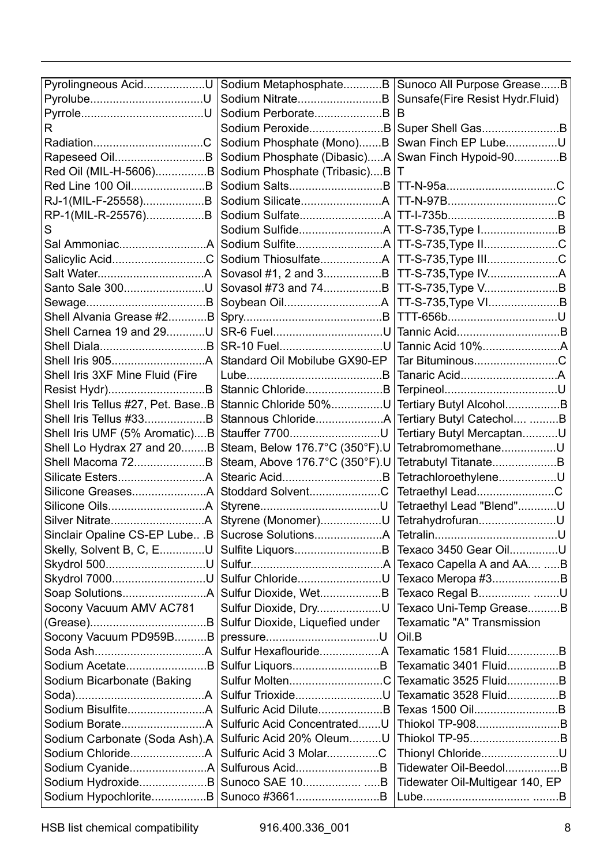| Pyrolingneous AcidU               | Sodium MetaphosphateB           | Sunoco All Purpose GreaseB      |
|-----------------------------------|---------------------------------|---------------------------------|
| PyrolubeU                         | Sodium NitrateB                 | Sunsafe(Fire Resist Hydr.Fluid) |
|                                   | Sodium PerborateB               | R                               |
| R                                 | Sodium PeroxideB                | Super Shell GasB                |
| RadiationC                        | Sodium Phosphate (Mono)B        | Swan Finch EP LubeU             |
| Rapeseed OilB                     | Sodium Phosphate (Dibasic)A     | Swan Finch Hypoid-90B           |
| Red Oil (MIL-H-5606)B             | Sodium Phosphate (Tribasic)B    | т                               |
| Red Line 100 OilB                 | Sodium SaltsB                   |                                 |
| RJ-1(MIL-F-25558)B                | Sodium SilicateA                |                                 |
| RP-1(MIL-R-25576)B                |                                 |                                 |
|                                   | Sodium SulfideA                 | TT-S-735, Type 1B               |
| Sal AmmoniacA                     |                                 | TT-S-735, Type IIC              |
| Salicylic AcidC                   | Sodium ThiosulfateA             | TT-S-735, Type IIIC             |
| Salt WaterA                       | Sovasol #1, 2 and 3B            | TT-S-735, Type IVA              |
| Santo Sale 300U                   |                                 | TT-S-735, Type VB               |
|                                   |                                 | TT-S-735, Type VIB              |
| Shell Alvania Grease #2B          |                                 | TTT-656bU                       |
| Shell Carnea 19 and 29U           |                                 | Tannic AcidB                    |
|                                   | SR-10 FuelU                     | Tannic Acid 10%A                |
| Shell Iris 905A                   | Standard Oil Mobilube GX90-EP   | Tar BituminousC                 |
| Shell Iris 3XF Mine Fluid (Fire   |                                 | Tanaric AcidA                   |
| Resist Hydr)B                     | Stannic ChlorideB               | TerpineolU                      |
| Shell Iris Tellus #27, Pet. BaseB | Stannic Chloride 50%U           | Tertiary Butyl AlcoholB         |
| Shell Iris Tellus #33B            |                                 | Tertiary Butyl Catechol B       |
| Shell Iris UMF (5% Aromatic)B     |                                 | Tertiary Butyl MercaptanU       |
| Shell Lo Hydrax 27 and 20B        | Steam, Below 176.7°C (350°F).U  | TetrabromomethaneU              |
| Shell Macoma 72B                  | Steam, Above 176.7°C (350°F).U  | Tetrabutyl TitanateB            |
| Silicate EstersA                  |                                 | TetrachloroethyleneU            |
| Silicone GreasesA                 | Stoddard SolventC               | Tetraethyl LeadC                |
| Silicone OilsA                    |                                 | Tetraethyl Lead "Blend"U        |
| Silver NitrateA                   | Styrene (Monomer)U              | TetrahydrofuranU                |
| Sinclair Opaline CS-EP Lube .B    |                                 |                                 |
| Skelly, Solvent B, C, EU          | Sulfite LiquorsB                | Texaco 3450 Gear OilU           |
| Skydrol 500U                      |                                 | Texaco Capella A and AA B       |
| Skydrol 7000U                     | Sulfur ChlorideU                | Texaco Meropa #3B               |
| Soap SolutionsA                   | Sulfur Dioxide, WetB            | Texaco Regal B U                |
| Socony Vacuum AMV AC781           | Sulfur Dioxide, DryU            | Texaco Uni-Temp GreaseB         |
|                                   | Sulfur Dioxide, Liquefied under | Texamatic "A" Transmission      |
| Socony Vacuum PD959BB             |                                 | Oil B                           |
|                                   |                                 | Texamatic 1581 FluidB           |
| Sodium AcetateB                   | Sulfur LiquorsB                 | Texamatic 3401 FluidB           |
| Sodium Bicarbonate (Baking        | Sulfur MoltenC                  | Texamatic 3525 FluidB           |
|                                   | Sulfur TrioxideU                | Texamatic 3528 FluidB           |
| Sodium BisulfiteA                 | Sulfuric Acid DiluteB           | Texas 1500 OilB                 |
| Sodium BorateA                    | Sulfuric Acid ConcentratedU     | Thiokol TP-908B                 |
| Sodium Carbonate (Soda Ash).A     | Sulfuric Acid 20% OleumU        | Thiokol TP-95B                  |
| Sodium ChlorideA                  | Sulfuric Acid 3 MolarC          | Thionyl ChlorideU               |
| Sodium CyanideA                   | Sulfurous AcidB                 | Tidewater Oil-BeedolB           |
| Sodium HydroxideB                 |                                 | Tidewater Oil-Multigear 140, EP |
| Sodium HypochloriteB              | Sunoco #3661B                   |                                 |

HSB list chemical compatibility  $916.400.336\_001$  8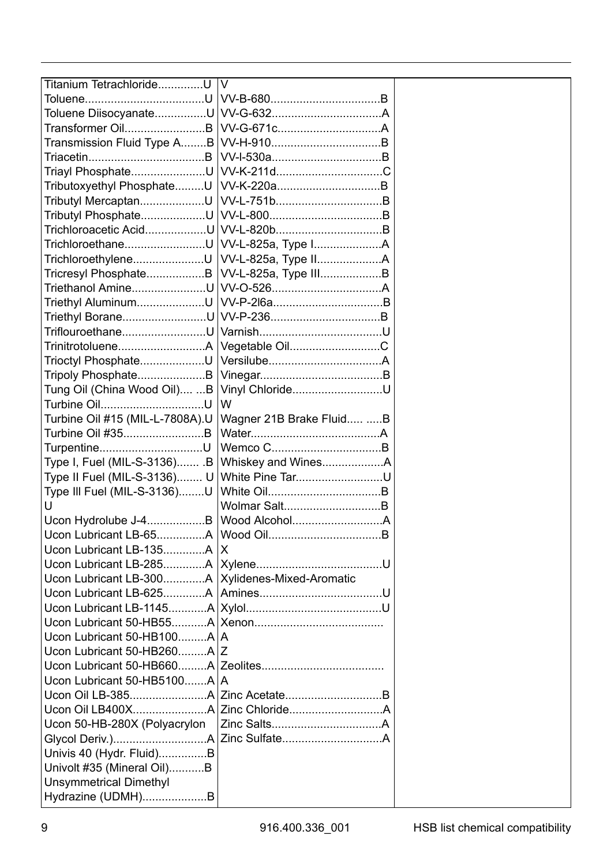| Titanium TetrachlorideU                        | V                               |  |
|------------------------------------------------|---------------------------------|--|
|                                                |                                 |  |
|                                                |                                 |  |
| Transformer OilB<br>Transmission Fluid Type AB |                                 |  |
|                                                |                                 |  |
| Triayl PhosphateU                              |                                 |  |
| Tributoxyethyl PhosphateU                      |                                 |  |
| Tributyl MercaptanU                            |                                 |  |
| Tributyl PhosphateU                            |                                 |  |
| Trichloroacetic AcidU                          |                                 |  |
| TrichloroethaneU                               |                                 |  |
| TrichloroethyleneU                             | VV-L-825a, Type IIA             |  |
| Tricresyl PhosphateB                           | VV-L-825a, Type IIIB            |  |
| Triethanol AmineU                              |                                 |  |
| Triethyl AluminumU                             |                                 |  |
| Triethyl BoraneU                               |                                 |  |
| TriflouroethaneU                               |                                 |  |
| TrinitrotolueneA                               | Vegetable OilC                  |  |
| Trioctyl PhosphateU                            |                                 |  |
| Tripoly PhosphateB                             |                                 |  |
| Tung Oil (China Wood Oil) B                    | Vinyl ChlorideU                 |  |
| Turbine OilU                                   | W                               |  |
| Turbine Oil #15 (MIL-L-7808A).U                | Wagner 21B Brake Fluid B        |  |
| Turbine Oil #35B                               |                                 |  |
| TurpentineU                                    |                                 |  |
| Type I, Fuel (MIL-S-3136)B                     | Whiskey and WinesA              |  |
| Type II Fuel (MIL-S-3136) U                    | White Pine TarU                 |  |
| Type III Fuel (MIL-S-3136)U                    |                                 |  |
| U                                              | Wolmar SaltB                    |  |
| Ucon Hydrolube J-4B                            |                                 |  |
| Ucon Lubricant LB-65A                          |                                 |  |
| Ucon Lubricant LB-135A                         | X                               |  |
| Ucon Lubricant LB-285A                         |                                 |  |
| Ucon Lubricant LB-300A                         | Xylidenes-Mixed-Aromatic        |  |
| Ucon Lubricant LB-625A                         |                                 |  |
| Ucon Lubricant LB-1145A                        |                                 |  |
|                                                |                                 |  |
| Ucon Lubricant 50-HB100A                       | A                               |  |
| Ucon Lubricant 50-HB260AlZ                     |                                 |  |
|                                                |                                 |  |
| Ucon Lubricant 50-HB5100A   A                  |                                 |  |
|                                                | Ucon Oil LB-385A Zinc AcetateB  |  |
|                                                | Ucon Oil LB400XA Zinc ChlorideA |  |
| Ucon 50-HB-280X (Polyacrylon                   |                                 |  |
|                                                |                                 |  |
| Univis 40 (Hydr. Fluid)B                       |                                 |  |
| Univolt #35 (Mineral Oil)B                     |                                 |  |
| Unsymmetrical Dimethyl                         |                                 |  |
| Hydrazine (UDMH)B                              |                                 |  |